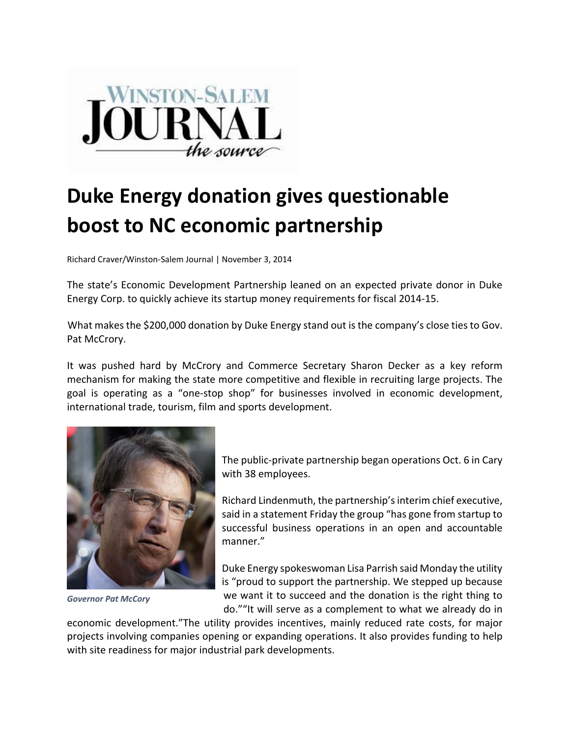

## **Duke Energy donation gives questionable boost to NC economic partnership**

Richard Craver/Winston‐Salem Journal | November 3, 2014

The state's Economic Development Partnership leaned on an expected private donor in Duke Energy Corp. to quickly achieve its startup money requirements for fiscal 2014‐15.

What makes the \$200,000 donation by Duke Energy stand out is the company's close ties to Gov. Pat McCrory.

It was pushed hard by McCrory and Commerce Secretary Sharon Decker as a key reform mechanism for making the state more competitive and flexible in recruiting large projects. The goal is operating as a "one‐stop shop" for businesses involved in economic development, international trade, tourism, film and sports development.



*Governor Pat McCory*

The public‐private partnership began operations Oct. 6 in Cary with 38 employees.

Richard Lindenmuth, the partnership'sinterim chief executive, said in a statement Friday the group "has gone from startup to successful business operations in an open and accountable manner."

Duke Energy spokeswoman Lisa Parrish said Monday the utility is "proud to support the partnership. We stepped up because we want it to succeed and the donation is the right thing to do.""It will serve as a complement to what we already do in

economic development."The utility provides incentives, mainly reduced rate costs, for major projects involving companies opening or expanding operations. It also provides funding to help with site readiness for major industrial park developments.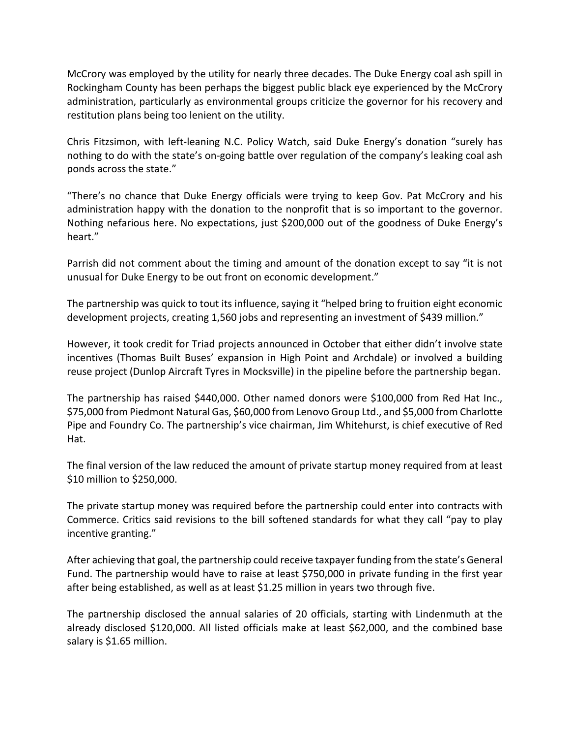McCrory was employed by the utility for nearly three decades. The Duke Energy coal ash spill in Rockingham County has been perhaps the biggest public black eye experienced by the McCrory administration, particularly as environmental groups criticize the governor for his recovery and restitution plans being too lenient on the utility.

Chris Fitzsimon, with left‐leaning N.C. Policy Watch, said Duke Energy's donation "surely has nothing to do with the state's on-going battle over regulation of the company's leaking coal ash ponds across the state."

"There's no chance that Duke Energy officials were trying to keep Gov. Pat McCrory and his administration happy with the donation to the nonprofit that is so important to the governor. Nothing nefarious here. No expectations, just \$200,000 out of the goodness of Duke Energy's heart."

Parrish did not comment about the timing and amount of the donation except to say "it is not unusual for Duke Energy to be out front on economic development."

The partnership was quick to tout its influence, saying it "helped bring to fruition eight economic development projects, creating 1,560 jobs and representing an investment of \$439 million."

However, it took credit for Triad projects announced in October that either didn't involve state incentives (Thomas Built Buses' expansion in High Point and Archdale) or involved a building reuse project (Dunlop Aircraft Tyres in Mocksville) in the pipeline before the partnership began.

The partnership has raised \$440,000. Other named donors were \$100,000 from Red Hat Inc., \$75,000 from Piedmont Natural Gas, \$60,000 from Lenovo Group Ltd., and \$5,000 from Charlotte Pipe and Foundry Co. The partnership's vice chairman, Jim Whitehurst, is chief executive of Red Hat.

The final version of the law reduced the amount of private startup money required from at least \$10 million to \$250,000.

The private startup money was required before the partnership could enter into contracts with Commerce. Critics said revisions to the bill softened standards for what they call "pay to play incentive granting."

After achieving that goal, the partnership could receive taxpayer funding from the state's General Fund. The partnership would have to raise at least \$750,000 in private funding in the first year after being established, as well as at least \$1.25 million in years two through five.

The partnership disclosed the annual salaries of 20 officials, starting with Lindenmuth at the already disclosed \$120,000. All listed officials make at least \$62,000, and the combined base salary is \$1.65 million.